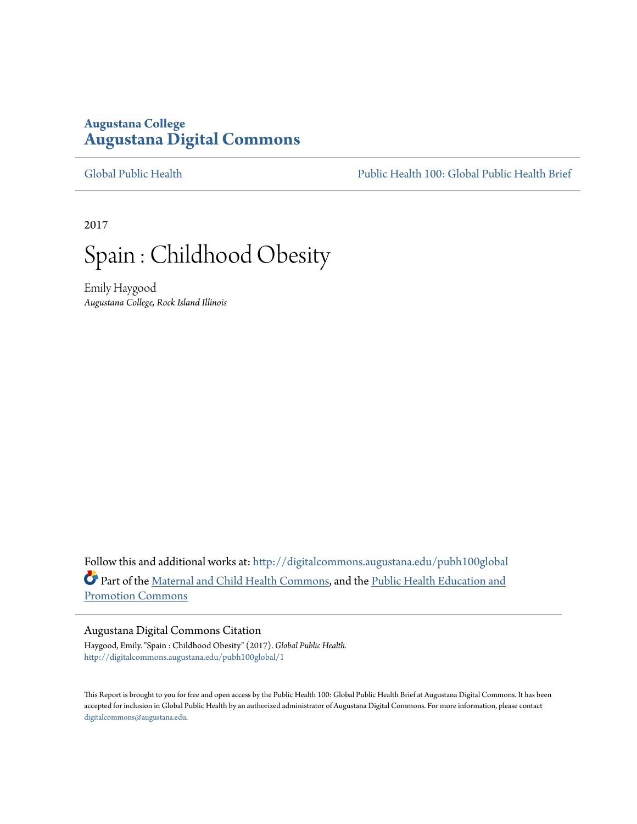# **Augustana College [Augustana Digital Commons](http://digitalcommons.augustana.edu?utm_source=digitalcommons.augustana.edu%2Fpubh100global%2F1&utm_medium=PDF&utm_campaign=PDFCoverPages)**

[Global Public Health](http://digitalcommons.augustana.edu/pubh100global?utm_source=digitalcommons.augustana.edu%2Fpubh100global%2F1&utm_medium=PDF&utm_campaign=PDFCoverPages) [Public Health 100: Global Public Health Brief](http://digitalcommons.augustana.edu/pubh100?utm_source=digitalcommons.augustana.edu%2Fpubh100global%2F1&utm_medium=PDF&utm_campaign=PDFCoverPages)

2017



Emily Haygood *Augustana College, Rock Island Illinois*

Follow this and additional works at: [http://digitalcommons.augustana.edu/pubh100global](http://digitalcommons.augustana.edu/pubh100global?utm_source=digitalcommons.augustana.edu%2Fpubh100global%2F1&utm_medium=PDF&utm_campaign=PDFCoverPages) Part of the [Maternal and Child Health Commons](http://network.bepress.com/hgg/discipline/745?utm_source=digitalcommons.augustana.edu%2Fpubh100global%2F1&utm_medium=PDF&utm_campaign=PDFCoverPages), and the [Public Health Education and](http://network.bepress.com/hgg/discipline/743?utm_source=digitalcommons.augustana.edu%2Fpubh100global%2F1&utm_medium=PDF&utm_campaign=PDFCoverPages) [Promotion Commons](http://network.bepress.com/hgg/discipline/743?utm_source=digitalcommons.augustana.edu%2Fpubh100global%2F1&utm_medium=PDF&utm_campaign=PDFCoverPages)

#### Augustana Digital Commons Citation

Haygood, Emily. "Spain : Childhood Obesity" (2017). *Global Public Health.* [http://digitalcommons.augustana.edu/pubh100global/1](http://digitalcommons.augustana.edu/pubh100global/1?utm_source=digitalcommons.augustana.edu%2Fpubh100global%2F1&utm_medium=PDF&utm_campaign=PDFCoverPages)

This Report is brought to you for free and open access by the Public Health 100: Global Public Health Brief at Augustana Digital Commons. It has been accepted for inclusion in Global Public Health by an authorized administrator of Augustana Digital Commons. For more information, please contact [digitalcommons@augustana.edu.](mailto:digitalcommons@augustana.edu)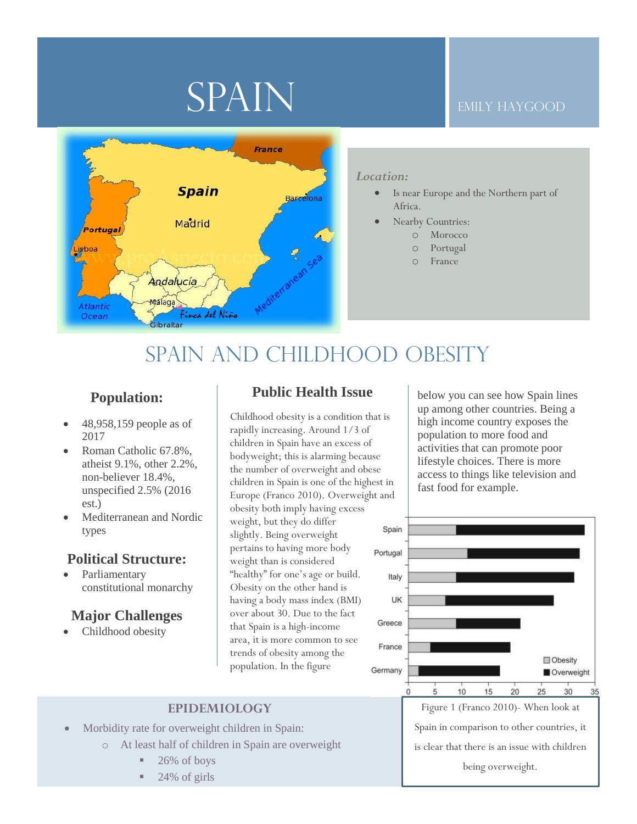# SPAIN

#### Emily Haygood



#### *Location:*

- Is near Europe and the Northern part of Africa.
- Nearby Countries:
	- o Morocco
	- o Portugal
	- o France

# SPAIN AND CHILDHOOD OBESITY

## **Population:**

- 48,958,159 people as of 2017
- Roman Catholic 67.8%, atheist 9.1%, other 2.2%, non-believer 18.4%, unspecified 2.5% (2016 est.)
- Mediterranean and Nordic types

#### **Political Structure:**

**Parliamentary** constitutional monarchy

### **Major Challenges**

Childhood obesity

### **Public Health Issue**

Childhood obesity is a condition that is rapidly increasing. Around 1/3 of children in Spain have an excess of bodyweight; this is alarming because the number of overweight and obese children in Spain is one of the highest in Europe (Franco 2010). Overweight and obesity both imply having excess weight, but they do differ slightly. Being overweight pertains to having more body weight than is considered "healthy" for one's age or build. Obesity on the other hand is having a body mass index (BMI) over about 30. Due to the fact that Spain is a high-income area, it is more common to see trends of obesity among the population. In the figure

below you can see how Spain lines up among other countries. Being a high income country exposes the population to more food and activities that can promote poor lifestyle choices. There is more access to things like television and fast food for example.



#### **EPIDEMIOLOGY**

- Morbidity rate for overweight children in Spain:
	- o At least half of children in Spain are overweight
		- 26% of boys
		- 24% of girls